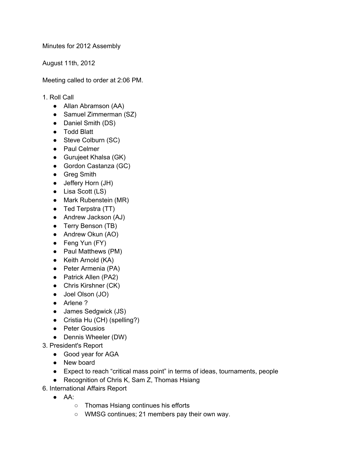Minutes for 2012 Assembly

August 11th, 2012

Meeting called to order at 2:06 PM.

- 1. Roll Call
	- Allan Abramson (AA)
	- Samuel Zimmerman (SZ)
	- Daniel Smith (DS)
	- Todd Blatt
	- Steve Colburn (SC)
	- Paul Celmer
	- Gurujeet Khalsa (GK)
	- Gordon Castanza (GC)
	- Greg Smith
	- Jeffery Horn (JH)
	- Lisa Scott (LS)
	- Mark Rubenstein (MR)
	- Ted Terpstra (TT)
	- Andrew Jackson (AJ)
	- Terry Benson (TB)
	- Andrew Okun (AO)
	- Feng Yun (FY)
	- Paul Matthews (PM)
	- Keith Arnold (KA)
	- Peter Armenia (PA)
	- Patrick Allen (PA2)
	- Chris Kirshner (CK)
	- Joel Olson (JO)
	- Arlene ?
	- James Sedgwick (JS)
	- Cristia Hu (CH) (spelling?)
	- Peter Gousios
	- Dennis Wheeler (DW)
- 3. President's Report
	- Good year for AGA
	- New board
	- Expect to reach "critical mass point" in terms of ideas, tournaments, people
	- Recognition of Chris K, Sam Z, Thomas Hsiang
- 6. International Affairs Report
	- $\bullet$  AA:
		- Thomas Hsiang continues his efforts
		- WMSG continues; 21 members pay their own way.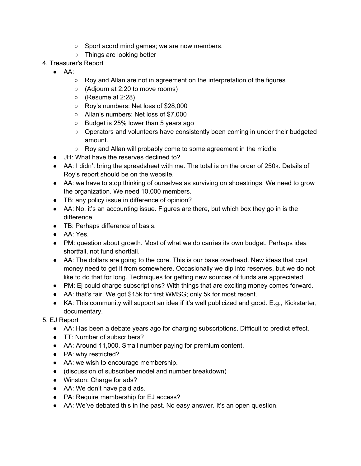- Sport acord mind games; we are now members.
- Things are looking better
- 4. Treasurer's Report
	- $\bullet$  AA:
		- Roy and Allan are not in agreement on the interpretation of the figures
		- (Adjourn at 2:20 to move rooms)
		- (Resume at 2:28)
		- Roy's numbers: Net loss of \$28,000
		- Allan's numbers: Net loss of \$7,000
		- Budget is 25% lower than 5 years ago
		- Operators and volunteers have consistently been coming in under their budgeted amount.
		- Roy and Allan will probably come to some agreement in the middle
	- JH: What have the reserves declined to?
	- AA: I didn't bring the spreadsheet with me. The total is on the order of 250k. Details of Roy's report should be on the website.
	- AA: we have to stop thinking of ourselves as surviving on shoestrings. We need to grow the organization. We need 10,000 members.
	- TB: any policy issue in difference of opinion?
	- AA: No, it's an accounting issue. Figures are there, but which box they go in is the difference.
	- TB: Perhaps difference of basis.
	- AA: Yes.
	- PM: question about growth. Most of what we do carries its own budget. Perhaps idea shortfall, not fund shortfall.
	- AA: The dollars are going to the core. This is our base overhead. New ideas that cost money need to get it from somewhere. Occasionally we dip into reserves, but we do not like to do that for long. Techniques for getting new sources of funds are appreciated.
	- PM: Ej could charge subscriptions? With things that are exciting money comes forward.
	- AA: that's fair. We got \$15k for first WMSG; only 5k for most recent.
	- KA: This community will support an idea if it's well publicized and good. E.g., Kickstarter, documentary.
- 5. EJ Report
	- AA: Has been a debate years ago for charging subscriptions. Difficult to predict effect.
	- TT: Number of subscribers?
	- AA: Around 11,000. Small number paying for premium content.
	- PA: why restricted?
	- AA: we wish to encourage membership.
	- (discussion of subscriber model and number breakdown)
	- Winston: Charge for ads?
	- AA: We don't have paid ads.
	- PA: Require membership for EJ access?
	- AA: We've debated this in the past. No easy answer. It's an open question.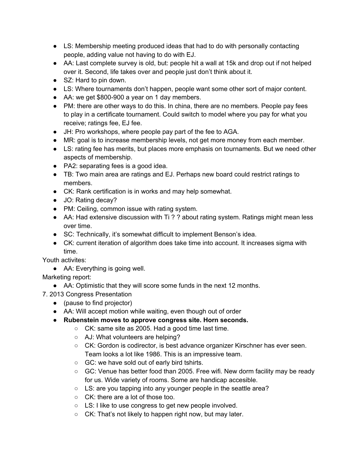- LS: Membership meeting produced ideas that had to do with personally contacting people, adding value not having to do with EJ.
- AA: Last complete survey is old, but: people hit a wall at 15k and drop out if not helped over it. Second, life takes over and people just don't think about it.
- SZ: Hard to pin down.
- LS: Where tournaments don't happen, people want some other sort of major content.
- AA: we get \$800-900 a year on 1 day members.
- PM: there are other ways to do this. In china, there are no members. People pay fees to play in a certificate tournament. Could switch to model where you pay for what you receive; ratings fee, EJ fee.
- JH: Pro workshops, where people pay part of the fee to AGA.
- MR: goal is to increase membership levels, not get more money from each member.
- LS: rating fee has merits, but places more emphasis on tournaments. But we need other aspects of membership.
- PA2: separating fees is a good idea.
- TB: Two main area are ratings and EJ. Perhaps new board could restrict ratings to members.
- CK: Rank certification is in works and may help somewhat.
- JO: Rating decay?
- PM: Ceiling, common issue with rating system.
- AA: Had extensive discussion with Ti ? ? about rating system. Ratings might mean less over time.
- SC: Technically, it's somewhat difficult to implement Benson's idea.
- CK: current iteration of algorithm does take time into account. It increases sigma with time.

Youth activites:

• AA: Everything is going well.

Marketing report:

- AA: Optimistic that they will score some funds in the next 12 months.
- 7. 2013 Congress Presentation
	- (pause to find projector)
	- AA: Will accept motion while waiting, even though out of order
	- **Rubenstein moves to approve congress site. Horn seconds.**
		- CK: same site as 2005. Had a good time last time.
		- AJ: What volunteers are helping?
		- CK: Gordon is codirector, is best advance organizer Kirschner has ever seen. Team looks a lot like 1986. This is an impressive team.
		- GC: we have sold out of early bird tshirts.
		- GC: Venue has better food than 2005. Free wifi. New dorm facility may be ready for us. Wide variety of rooms. Some are handicap accesible.
		- LS: are you tapping into any younger people in the seattle area?
		- CK: there are a lot of those too.
		- LS: I like to use congress to get new people involved.
		- CK: That's not likely to happen right now, but may later.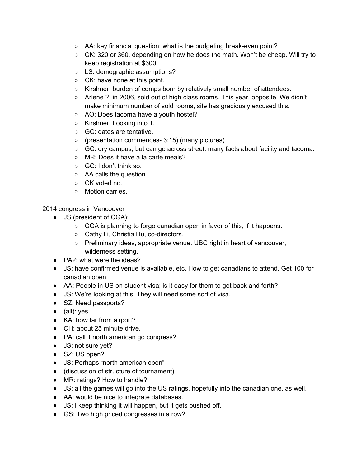- AA: key financial question: what is the budgeting break-even point?
- CK: 320 or 360, depending on how he does the math. Won't be cheap. Will try to keep registration at \$300.
- LS: demographic assumptions?
- CK: have none at this point.
- Kirshner: burden of comps born by relatively small number of attendees.
- Arlene ?: in 2006, sold out of high class rooms. This year, opposite. We didn't make minimum number of sold rooms, site has graciously excused this.
- AO: Does tacoma have a youth hostel?
- Kirshner: Looking into it.
- GC: dates are tentative.
- (presentation commences- 3:15) (many pictures)
- GC: dry campus, but can go across street. many facts about facility and tacoma.
- MR: Does it have a la carte meals?
- GC: I don't think so.
- AA calls the question.
- CK voted no.
- Motion carries.

2014 congress in Vancouver

- JS (president of CGA):
	- CGA is planning to forgo canadian open in favor of this, if it happens.
	- Cathy Li, Christia Hu, co-directors.
	- Preliminary ideas, appropriate venue. UBC right in heart of vancouver, wilderness setting.
- PA2: what were the ideas?
- JS: have confirmed venue is available, etc. How to get canadians to attend. Get 100 for canadian open.
- AA: People in US on student visa; is it easy for them to get back and forth?
- JS: We're looking at this. They will need some sort of visa.
- SZ: Need passports?
- $\bullet$  (all): yes.
- KA: how far from airport?
- CH: about 25 minute drive.
- PA: call it north american go congress?
- JS: not sure yet?
- SZ: US open?
- JS: Perhaps "north american open"
- (discussion of structure of tournament)
- MR: ratings? How to handle?
- JS: all the games will go into the US ratings, hopefully into the canadian one, as well.
- AA: would be nice to integrate databases.
- JS: I keep thinking it will happen, but it gets pushed off.
- GS: Two high priced congresses in a row?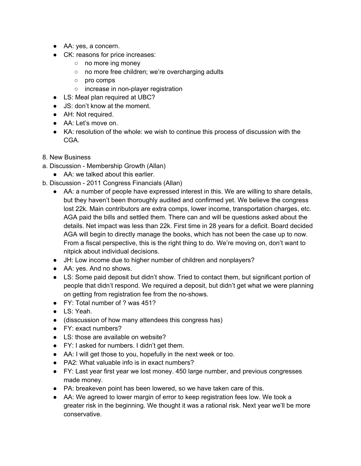- AA: yes, a concern.
- CK: reasons for price increases:
	- no more ing money
	- no more free children; we're overcharging adults
	- pro comps
	- increase in non-player registration
- LS: Meal plan required at UBC?
- JS: don't know at the moment.
- AH: Not required.
- AA: Let's move on.
- KA: resolution of the whole: we wish to continue this process of discussion with the CGA.
- 8. New Business
- a. Discussion Membership Growth (Allan)
	- AA: we talked about this earlier.
- b. Discussion 2011 Congress Financials (Allan)
	- AA: a number of people have expressed interest in this. We are willing to share details, but they haven't been thoroughly audited and confirmed yet. We believe the congress lost 22k. Main contributors are extra comps, lower income, transportation charges, etc. AGA paid the bills and settled them. There can and will be questions asked about the details. Net impact was less than 22k. First time in 28 years for a deficit. Board decided AGA will begin to directly manage the books, which has not been the case up to now. From a fiscal perspective, this is the right thing to do. We're moving on, don't want to nitpick about individual decisions.
	- JH: Low income due to higher number of children and nonplayers?
	- AA: yes. And no shows.
	- LS: Some paid deposit but didn't show. Tried to contact them, but significant portion of people that didn't respond. We required a deposit, but didn't get what we were planning on getting from registration fee from the no-shows.
	- FY: Total number of ? was 451?
	- LS: Yeah.
	- (disscussion of how many attendees this congress has)
	- FY: exact numbers?
	- LS: those are available on website?
	- FY: I asked for numbers. I didn't get them.
	- AA: I will get those to you, hopefully in the next week or too.
	- PA2: What valuable info is in exact numbers?
	- FY: Last year first year we lost money. 450 large number, and previous congresses made money.
	- PA: breakeven point has been lowered, so we have taken care of this.
	- AA: We agreed to lower margin of error to keep registration fees low. We took a greater risk in the beginning. We thought it was a rational risk. Next year we'll be more conservative.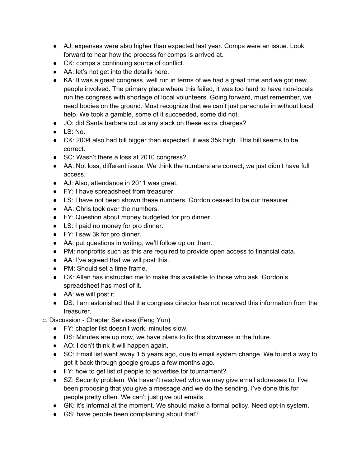- AJ: expenses were also higher than expected last year. Comps were an issue. Look forward to hear how the process for comps is arrived at.
- CK: comps a continuing source of conflict.
- AA: let's not get into the details here.
- KA: It was a great congress, well run in terms of we had a great time and we got new people involved. The primary place where this failed, it was too hard to have non-locals run the congress with shortage of local volunteers. Going forward, must remember, we need bodies on the ground. Must recognize that we can't just parachute in without local help. We took a gamble, some of it succeeded, some did not.
- JO: did Santa barbara cut us any slack on these extra charges?
- $\bullet$  LS: No.
- CK: 2004 also had bill bigger than expected. it was 35k high. This bill seems to be correct.
- SC: Wasn't there a loss at 2010 congress?
- AA: Not loss, different issue. We think the numbers are correct, we just didn't have full access.
- AJ: Also, attendance in 2011 was great.
- FY: I have spreadsheet from treasurer.
- LS: I have not been shown these numbers. Gordon ceased to be our treasurer.
- AA: Chris took over the numbers.
- FY: Question about money budgeted for pro dinner.
- LS: I paid no money for pro dinner.
- FY: I saw 3k for pro dinner.
- AA: put questions in writing, we'll follow up on them.
- PM: nonprofits such as this are required to provide open access to financial data.
- AA: I've agreed that we will post this.
- PM: Should set a time frame.
- CK: Allan has instructed me to make this available to those who ask. Gordon's spreadsheet has most of it.
- AA: we will post it.
- DS: I am astonished that the congress director has not received this information from the treasurer.
- c. Discussion Chapter Services (Feng Yun)
	- FY: chapter list doesn't work, minutes slow,
	- DS: Minutes are up now, we have plans to fix this slowness in the future.
	- AO: I don't think it will happen again.
	- SC: Email list went away 1.5 years ago, due to email system change. We found a way to get it back through google groups a few months ago.
	- FY: how to get list of people to advertise for tournament?
	- SZ: Security problem. We haven't resolved who we may give email addresses to. I've been proposing that you give a message and we do the sending. I've done this for people pretty often. We can't just give out emails.
	- GK: it's informal at the moment. We should make a formal policy. Need opt-in system.
	- GS: have people been complaining about that?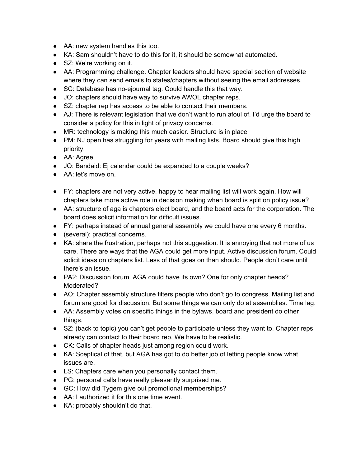- AA: new system handles this too.
- KA: Sam shouldn't have to do this for it, it should be somewhat automated.
- SZ: We're working on it.
- AA: Programming challenge. Chapter leaders should have special section of website where they can send emails to states/chapters without seeing the email addresses.
- SC: Database has no-ejournal tag. Could handle this that way.
- JO: chapters should have way to survive AWOL chapter reps.
- SZ: chapter rep has access to be able to contact their members.
- AJ: There is relevant legislation that we don't want to run afoul of. I'd urge the board to consider a policy for this in light of privacy concerns.
- MR: technology is making this much easier. Structure is in place
- PM: NJ open has struggling for years with mailing lists. Board should give this high priority.
- AA: Agree.
- JO: Bandaid: Ej calendar could be expanded to a couple weeks?
- AA<sup>·</sup> let's move on
- FY: chapters are not very active. happy to hear mailing list will work again. How will chapters take more active role in decision making when board is split on policy issue?
- AA: structure of aga is chapters elect board, and the board acts for the corporation. The board does solicit information for difficult issues.
- FY: perhaps instead of annual general assembly we could have one every 6 months.
- (several): practical concerns.
- KA: share the frustration, perhaps not this suggestion. It is annoying that not more of us care. There are ways that the AGA could get more input. Active discussion forum. Could solicit ideas on chapters list. Less of that goes on than should. People don't care until there's an issue.
- PA2: Discussion forum. AGA could have its own? One for only chapter heads? Moderated?
- AO: Chapter assembly structure filters people who don't go to congress. Mailing list and forum are good for discussion. But some things we can only do at assemblies. Time lag.
- AA: Assembly votes on specific things in the bylaws, board and president do other things.
- SZ: (back to topic) you can't get people to participate unless they want to. Chapter reps already can contact to their board rep. We have to be realistic.
- CK: Calls of chapter heads just among region could work.
- KA: Sceptical of that, but AGA has got to do better job of letting people know what issues are.
- LS: Chapters care when you personally contact them.
- PG: personal calls have really pleasantly surprised me.
- GC: How did Tygem give out promotional memberships?
- AA: I authorized it for this one time event.
- KA: probably shouldn't do that.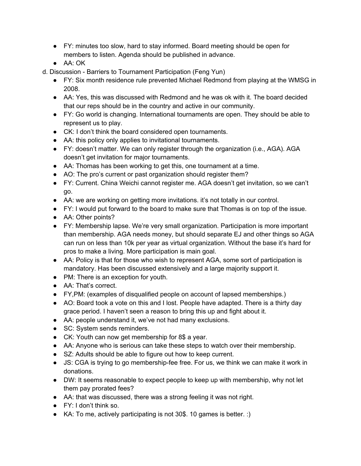- FY: minutes too slow, hard to stay informed. Board meeting should be open for members to listen. Agenda should be published in advance.
- $\bullet$  AA $\cdot$  OK

d. Discussion - Barriers to Tournament Participation (Feng Yun)

- FY: Six month residence rule prevented Michael Redmond from playing at the WMSG in 2008.
- AA: Yes, this was discussed with Redmond and he was ok with it. The board decided that our reps should be in the country and active in our community.
- FY: Go world is changing. International tournaments are open. They should be able to represent us to play.
- CK: I don't think the board considered open tournaments.
- AA: this policy only applies to invitational tournaments.
- FY: doesn't matter. We can only register through the organization (i.e., AGA). AGA doesn't get invitation for major tournaments.
- AA: Thomas has been working to get this, one tournament at a time.
- AO: The pro's current or past organization should register them?
- FY: Current. China Weichi cannot register me. AGA doesn't get invitation, so we can't go.
- AA: we are working on getting more invitations. it's not totally in our control.
- FY: I would put forward to the board to make sure that Thomas is on top of the issue.
- AA: Other points?
- FY: Membership lapse. We're very small organization. Participation is more important than membership. AGA needs money, but should separate EJ and other things so AGA can run on less than 10k per year as virtual organization. Without the base it's hard for pros to make a living. More participation is main goal.
- AA: Policy is that for those who wish to represent AGA, some sort of participation is mandatory. Has been discussed extensively and a large majority support it.
- PM: There is an exception for youth.
- AA: That's correct.
- FY,PM: (examples of disqualified people on account of lapsed memberships.)
- AO: Board took a vote on this and I lost. People have adapted. There is a thirty day grace period. I haven't seen a reason to bring this up and fight about it.
- AA: people understand it, we've not had many exclusions.
- SC: System sends reminders.
- CK: Youth can now get membership for 8\$ a year.
- AA: Anyone who is serious can take these steps to watch over their membership.
- SZ: Adults should be able to figure out how to keep current.
- JS: CGA is trying to go membership-fee free. For us, we think we can make it work in donations.
- DW: It seems reasonable to expect people to keep up with membership, why not let them pay prorated fees?
- AA: that was discussed, there was a strong feeling it was not right.
- FY: I don't think so.
- KA: To me, actively participating is not 30\$. 10 games is better. :)